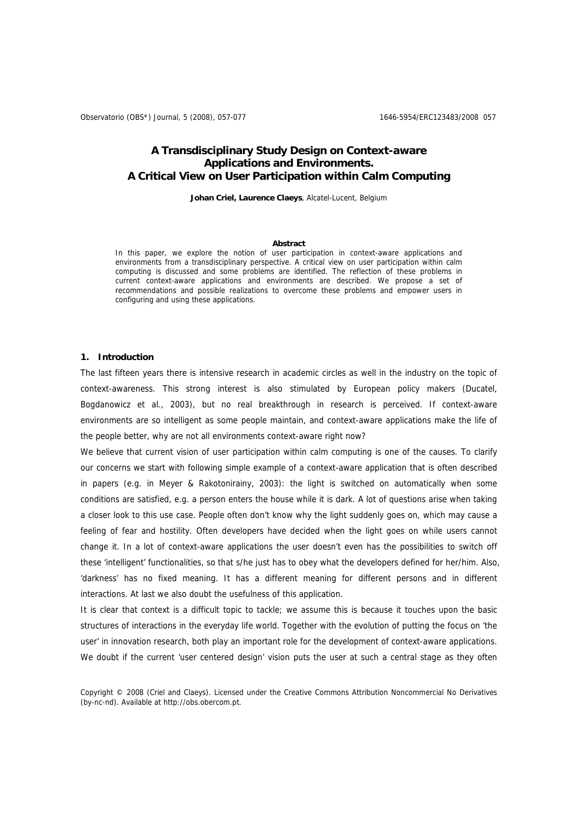Observatorio (OBS\*) Journal, 5 (2008), 057-077 1646-6954/ERC123483/2008 057

## **A Transdisciplinary Study Design on Context-aware Applications and Environments. A Critical View on User Participation within Calm Computing**

**Johan Criel, Laurence Claeys**, Alcatel-Lucent, Belgium

#### **Abstract**

In this paper, we explore the notion of user participation in context-aware applications and environments from a transdisciplinary perspective. A critical view on user participation within calm computing is discussed and some problems are identified. The reflection of these problems in current context-aware applications and environments are described. We propose a set of recommendations and possible realizations to overcome these problems and empower users in configuring and using these applications.

## **1. Introduction**

The last fifteen years there is intensive research in academic circles as well in the industry on the topic of context-awareness. This strong interest is also stimulated by European policy makers (Ducatel, Bogdanowicz et al., 2003), but no real breakthrough in research is perceived. If context-aware environments are so intelligent as some people maintain, and context-aware applications make the life of the people better, why are not all environments context-aware right now?

We believe that current vision of user participation within calm computing is one of the causes. To clarify our concerns we start with following simple example of a context-aware application that is often described in papers (e.g. in Meyer & Rakotonirainy, 2003): the light is switched on automatically when some conditions are satisfied, e.g. a person enters the house while it is dark. A lot of questions arise when taking a closer look to this use case. People often don't know why the light suddenly goes on, which may cause a feeling of fear and hostility. Often developers have decided when the light goes on while users cannot change it. In a lot of context-aware applications the user doesn't even has the possibilities to switch off these 'intelligent' functionalities, so that s/he just has to obey what the developers defined for her/him. Also, 'darkness' has no fixed meaning. It has a different meaning for different persons and in different interactions. At last we also doubt the usefulness of this application.

It is clear that context is a difficult topic to tackle; we assume this is because it touches upon the basic structures of interactions in the everyday life world. Together with the evolution of putting the focus on 'the user' in innovation research, both play an important role for the development of context-aware applications. We doubt if the current 'user centered design' vision puts the user at such a central stage as they often

Copyright © 2008 (Criel and Claeys). Licensed under the Creative Commons Attribution Noncommercial No Derivatives (by-nc-nd). Available at http://obs.obercom.pt.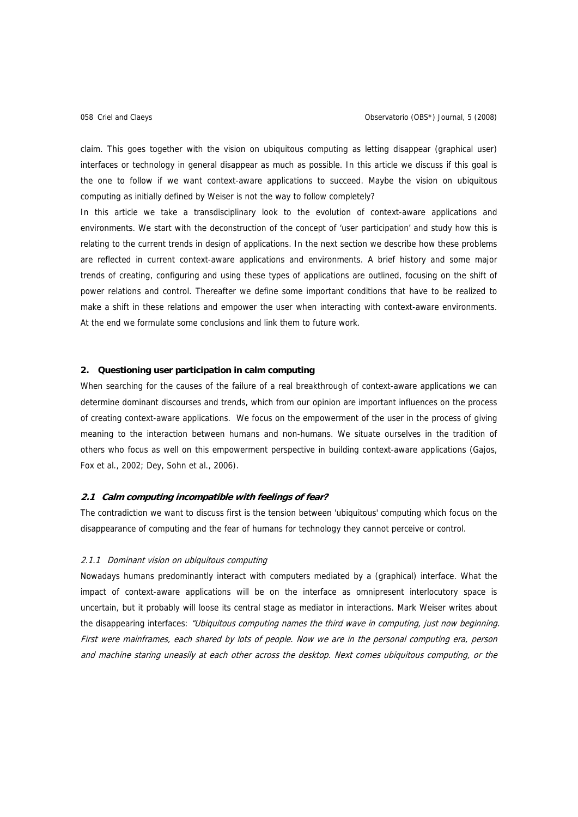claim. This goes together with the vision on ubiquitous computing as letting disappear (graphical user) interfaces or technology in general disappear as much as possible. In this article we discuss if this goal is the one to follow if we want context-aware applications to succeed. Maybe the vision on ubiquitous computing as initially defined by Weiser is not the way to follow completely?

In this article we take a transdisciplinary look to the evolution of context-aware applications and environments. We start with the deconstruction of the concept of 'user participation' and study how this is relating to the current trends in design of applications. In the next section we describe how these problems are reflected in current context-aware applications and environments. A brief history and some major trends of creating, configuring and using these types of applications are outlined, focusing on the shift of power relations and control. Thereafter we define some important conditions that have to be realized to make a shift in these relations and empower the user when interacting with context-aware environments. At the end we formulate some conclusions and link them to future work.

## **2. Questioning user participation in calm computing**

When searching for the causes of the failure of a real breakthrough of context-aware applications we can determine dominant discourses and trends, which from our opinion are important influences on the process of creating context-aware applications. We focus on the empowerment of the user in the process of giving meaning to the interaction between humans and non-humans. We situate ourselves in the tradition of others who focus as well on this empowerment perspective in building context-aware applications (Gajos, Fox et al., 2002; Dey, Sohn et al., 2006).

## **2.1 Calm computing incompatible with feelings of fear?**

The contradiction we want to discuss first is the tension between 'ubiquitous' computing which focus on the disappearance of computing and the fear of humans for technology they cannot perceive or control.

#### 2.1.1 Dominant vision on ubiquitous computing

Nowadays humans predominantly interact with computers mediated by a (graphical) interface. What the impact of context-aware applications will be on the interface as omnipresent interlocutory space is uncertain, but it probably will loose its central stage as mediator in interactions. Mark Weiser writes about the disappearing interfaces: "Ubiquitous computing names the third wave in computing, just now beginning. First were mainframes, each shared by lots of people. Now we are in the personal computing era, person and machine staring uneasily at each other across the desktop. Next comes ubiquitous computing, or the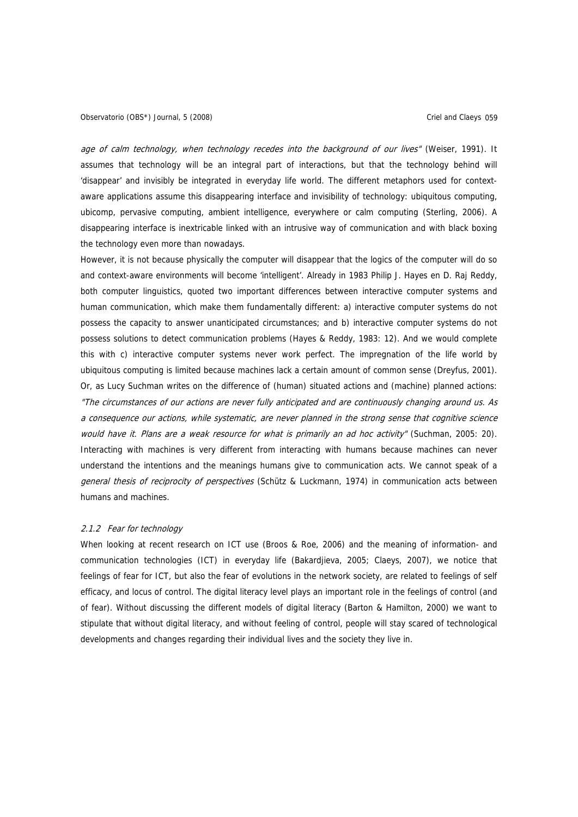age of calm technology, when technology recedes into the background of our lives" (Weiser, 1991). It assumes that technology will be an integral part of interactions, but that the technology behind will 'disappear' and invisibly be integrated in everyday life world. The different metaphors used for contextaware applications assume this disappearing interface and invisibility of technology: ubiquitous computing, ubicomp, pervasive computing, ambient intelligence, everywhere or calm computing (Sterling, 2006). A disappearing interface is inextricable linked with an intrusive way of communication and with black boxing the technology even more than nowadays.

However, it is not because physically the computer will disappear that the logics of the computer will do so and context-aware environments will become 'intelligent'. Already in 1983 Philip J. Hayes en D. Raj Reddy, both computer linguistics, quoted two important differences between interactive computer systems and human communication, which make them fundamentally different: a) interactive computer systems do not possess the capacity to answer unanticipated circumstances; and b) interactive computer systems do not possess solutions to detect communication problems (Hayes & Reddy, 1983: 12). And we would complete this with c) interactive computer systems never work perfect. The impregnation of the life world by ubiquitous computing is limited because machines lack a certain amount of common sense (Dreyfus, 2001). Or, as Lucy Suchman writes on the difference of (human) situated actions and (machine) planned actions: "The circumstances of our actions are never fully anticipated and are continuously changing around us. As a consequence our actions, while systematic, are never planned in the strong sense that cognitive science would have it. Plans are a weak resource for what is primarily an ad hoc activity" (Suchman, 2005: 20). Interacting with machines is very different from interacting with humans because machines can never understand the intentions and the meanings humans give to communication acts. We cannot speak of a general thesis of reciprocity of perspectives (Schütz & Luckmann, 1974) in communication acts between humans and machines.

## 2.1.2 Fear for technology

When looking at recent research on ICT use (Broos & Roe, 2006) and the meaning of information- and communication technologies (ICT) in everyday life (Bakardjieva, 2005; Claeys, 2007), we notice that feelings of fear for ICT, but also the fear of evolutions in the network society, are related to feelings of self efficacy, and locus of control. The digital literacy level plays an important role in the feelings of control (and of fear). Without discussing the different models of digital literacy (Barton & Hamilton, 2000) we want to stipulate that without digital literacy, and without feeling of control, people will stay scared of technological developments and changes regarding their individual lives and the society they live in.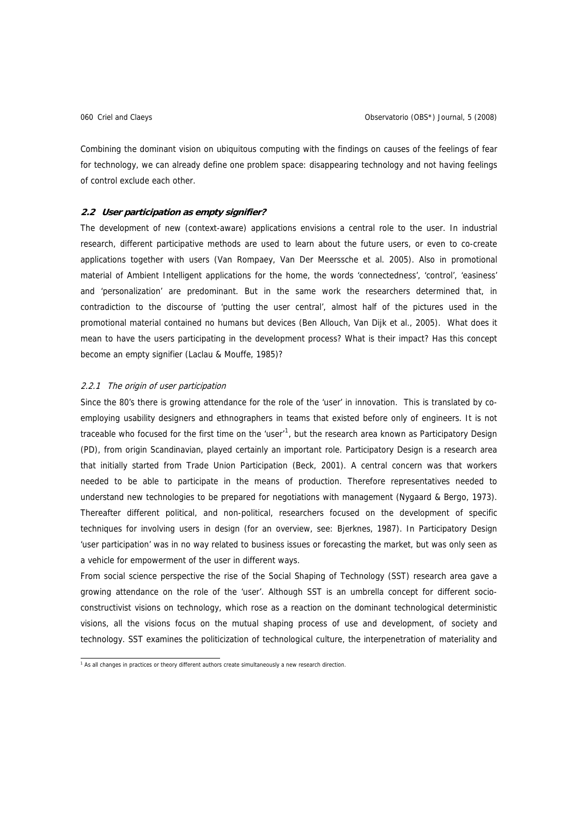Combining the dominant vision on ubiquitous computing with the findings on causes of the feelings of fear for technology, we can already define one problem space: disappearing technology and not having feelings of control exclude each other.

#### **2.2 User participation as empty signifier?**

The development of new (context-aware) applications envisions a central role to the user. In industrial research, different participative methods are used to learn about the future users, or even to co-create applications together with users (Van Rompaey, Van Der Meerssche et al. 2005). Also in promotional material of Ambient Intelligent applications for the home, the words 'connectedness', 'control', 'easiness' and 'personalization' are predominant. But in the same work the researchers determined that, in contradiction to the discourse of 'putting the user central', almost half of the pictures used in the promotional material contained no humans but devices (Ben Allouch, Van Dijk et al., 2005). What does it mean to have the users participating in the development process? What is their impact? Has this concept become an empty signifier (Laclau & Mouffe, 1985)?

## 2.2.1 The origin of user participation

Since the 80's there is growing attendance for the role of the 'user' in innovation. This is translated by coemploying usability designers and ethnographers in teams that existed before only of engineers. It is not traceable who focused for the first time on the 'user'<sup>[1](#page-3-0)</sup>, but the research area known as Participatory Design (PD), from origin Scandinavian, played certainly an important role. Participatory Design is a research area that initially started from Trade Union Participation (Beck, 2001). A central concern was that workers needed to be able to participate in the means of production. Therefore representatives needed to understand new technologies to be prepared for negotiations with management (Nygaard & Bergo, 1973). Thereafter different political, and non-political, researchers focused on the development of specific techniques for involving users in design (for an overview, see: Bjerknes, 1987). In Participatory Design 'user participation' was in no way related to business issues or forecasting the market, but was only seen as a vehicle for empowerment of the user in different ways.

From social science perspective the rise of the Social Shaping of Technology (SST) research area gave a growing attendance on the role of the 'user'. Although SST is an umbrella concept for different socioconstructivist visions on technology, which rose as a reaction on the dominant technological deterministic visions, all the visions focus on the mutual shaping process of use and development, of society and technology. SST examines the politicization of technological culture, the interpenetration of materiality and

<span id="page-3-0"></span><sup>1&</sup>lt;br>As all changes in practices or theory different authors create simultaneously a new research direction.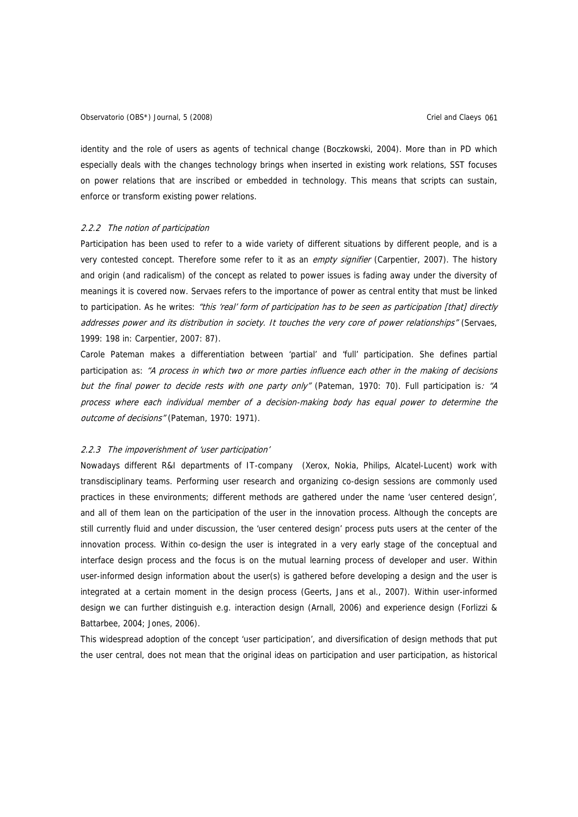identity and the role of users as agents of technical change (Boczkowski, 2004). More than in PD which especially deals with the changes technology brings when inserted in existing work relations, SST focuses on power relations that are inscribed or embedded in technology. This means that scripts can sustain, enforce or transform existing power relations.

#### 2.2.2 The notion of participation

Participation has been used to refer to a wide variety of different situations by different people, and is a very contested concept. Therefore some refer to it as an empty signifier (Carpentier, 2007). The history and origin (and radicalism) of the concept as related to power issues is fading away under the diversity of meanings it is covered now. Servaes refers to the importance of power as central entity that must be linked to participation. As he writes: "this 'real' form of participation has to be seen as participation [that] directly addresses power and its distribution in society. It touches the very core of power relationships" (Servaes, 1999: 198 in: Carpentier, 2007: 87).

Carole Pateman makes a differentiation between 'partial' and 'full' participation. She defines partial participation as: "A process in which two or more parties influence each other in the making of decisions but the final power to decide rests with one party only" (Pateman, 1970: 70). Full participation is: "A process where each individual member of a decision-making body has equal power to determine the outcome of decisions" (Pateman, 1970: 1971).

#### 2.2.3 The impoverishment of 'user participation'

Nowadays different R&I departments of IT-company (Xerox, Nokia, Philips, Alcatel-Lucent) work with transdisciplinary teams. Performing user research and organizing co-design sessions are commonly used practices in these environments; different methods are gathered under the name 'user centered design', and all of them lean on the participation of the user in the innovation process. Although the concepts are still currently fluid and under discussion, the 'user centered design' process puts users at the center of the innovation process. Within co-design the user is integrated in a very early stage of the conceptual and interface design process and the focus is on the mutual learning process of developer and user. Within user-informed design information about the user(s) is gathered before developing a design and the user is integrated at a certain moment in the design process (Geerts, Jans et al., 2007). Within user-informed design we can further distinguish e.g. interaction design (Arnall, 2006) and experience design (Forlizzi & Battarbee, 2004; Jones, 2006).

This widespread adoption of the concept 'user participation', and diversification of design methods that put the user central, does not mean that the original ideas on participation and user participation, as historical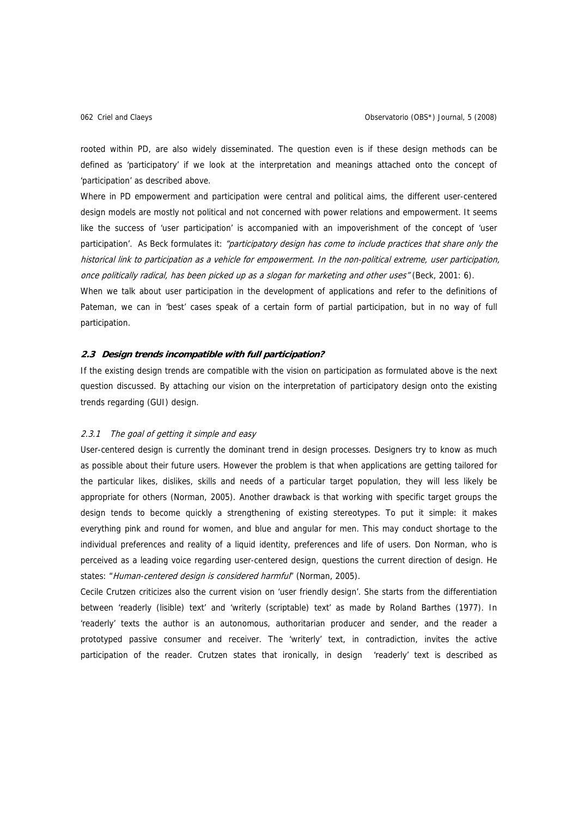rooted within PD, are also widely disseminated. The question even is if these design methods can be defined as 'participatory' if we look at the interpretation and meanings attached onto the concept of 'participation' as described above.

Where in PD empowerment and participation were central and political aims, the different user-centered design models are mostly not political and not concerned with power relations and empowerment. It seems like the success of 'user participation' is accompanied with an impoverishment of the concept of 'user participation'. As Beck formulates it: "participatory design has come to include practices that share only the historical link to participation as a vehicle for empowerment. In the non-political extreme, user participation, once politically radical, has been picked up as a slogan for marketing and other uses" (Beck, 2001: 6).

When we talk about user participation in the development of applications and refer to the definitions of Pateman, we can in 'best' cases speak of a certain form of partial participation, but in no way of full participation.

## **2.3 Design trends incompatible with full participation?**

If the existing design trends are compatible with the vision on participation as formulated above is the next question discussed. By attaching our vision on the interpretation of participatory design onto the existing trends regarding (GUI) design.

## 2.3.1 The goal of getting it simple and easy

User-centered design is currently the dominant trend in design processes. Designers try to know as much as possible about their future users. However the problem is that when applications are getting tailored for the particular likes, dislikes, skills and needs of a particular target population, they will less likely be appropriate for others (Norman, 2005). Another drawback is that working with specific target groups the design tends to become quickly a strengthening of existing stereotypes. To put it simple: it makes everything pink and round for women, and blue and angular for men. This may conduct shortage to the individual preferences and reality of a liquid identity, preferences and life of users. Don Norman, who is perceived as a leading voice regarding user-centered design, questions the current direction of design. He states: "Human-centered design is considered harmful" (Norman, 2005).

Cecile Crutzen criticizes also the current vision on 'user friendly design'. She starts from the differentiation between 'readerly (lisible) text' and 'writerly (scriptable) text' as made by Roland Barthes (1977). In 'readerly' texts the author is an autonomous, authoritarian producer and sender, and the reader a prototyped passive consumer and receiver. The 'writerly' text, in contradiction, invites the active participation of the reader. Crutzen states that ironically, in design 'readerly' text is described as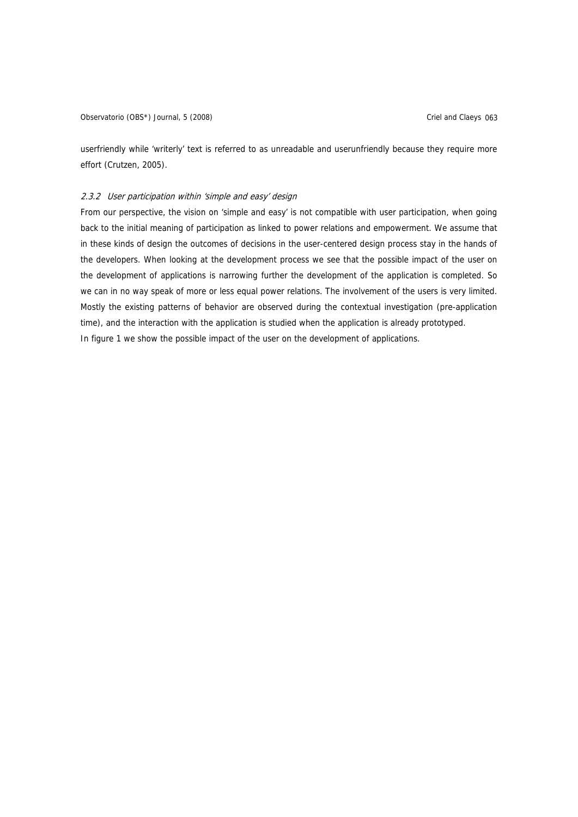userfriendly while 'writerly' text is referred to as unreadable and userunfriendly because they require more effort (Crutzen, 2005).

## 2.3.2 User participation within 'simple and easy' design

From our perspective, the vision on 'simple and easy' is not compatible with user participation, when going back to the initial meaning of participation as linked to power relations and empowerment. We assume that in these kinds of design the outcomes of decisions in the user-centered design process stay in the hands of the developers. When looking at the development process we see that the possible impact of the user on the development of applications is narrowing further the development of the application is completed. So we can in no way speak of more or less equal power relations. The involvement of the users is very limited. Mostly the existing patterns of behavior are observed during the contextual investigation (pre-application time), and the interaction with the application is studied when the application is already prototyped. In figure 1 we show the possible impact of the user on the development of applications.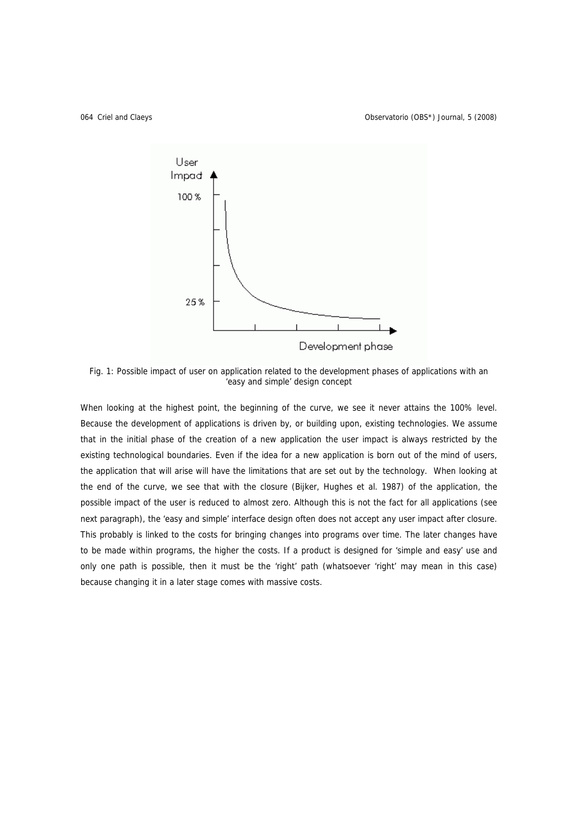

Fig. 1: Possible impact of user on application related to the development phases of applications with an 'easy and simple' design concept

When looking at the highest point, the beginning of the curve, we see it never attains the 100% level. Because the development of applications is driven by, or building upon, existing technologies. We assume that in the initial phase of the creation of a new application the user impact is always restricted by the existing technological boundaries. Even if the idea for a new application is born out of the mind of users, the application that will arise will have the limitations that are set out by the technology. When looking at the end of the curve, we see that with the closure (Bijker, Hughes et al. 1987) of the application, the possible impact of the user is reduced to almost zero. Although this is not the fact for all applications (see next paragraph), the 'easy and simple' interface design often does not accept any user impact after closure. This probably is linked to the costs for bringing changes into programs over time. The later changes have to be made within programs, the higher the costs. If a product is designed for 'simple and easy' use and only one path is possible, then it must be the 'right' path (whatsoever 'right' may mean in this case) because changing it in a later stage comes with massive costs.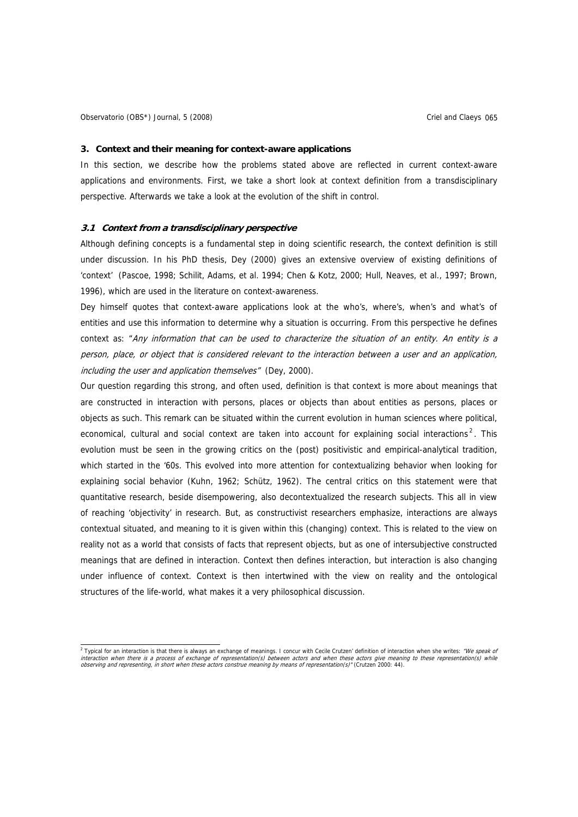#### **3. Context and their meaning for context-aware applications**

In this section, we describe how the problems stated above are reflected in current context-aware applications and environments. First, we take a short look at context definition from a transdisciplinary perspective. Afterwards we take a look at the evolution of the shift in control.

## **3.1 Context from a transdisciplinary perspective**

Although defining concepts is a fundamental step in doing scientific research, the context definition is still under discussion. In his PhD thesis, Dey (2000) gives an extensive overview of existing definitions of 'context' (Pascoe, 1998; Schilit, Adams, et al. 1994; Chen & Kotz, 2000; Hull, Neaves, et al., 1997; Brown, 1996), which are used in the literature on context-awareness.

Dey himself quotes that context-aware applications look at the who's, where's, when's and what's of entities and use this information to determine why a situation is occurring. From this perspective he defines context as: "Any information that can be used to characterize the situation of an entity. An entity is a person, place, or object that is considered relevant to the interaction between a user and an application, including the user and application themselves" (Dey, 2000).

Our question regarding this strong, and often used, definition is that context is more about meanings that are constructed in interaction with persons, places or objects than about entities as persons, places or objects as such. This remark can be situated within the current evolution in human sciences where political, economical, cultural and social context are taken into account for explaining social interactions<sup>[2](#page-8-0)</sup>. This evolution must be seen in the growing critics on the (post) positivistic and empirical-analytical tradition, which started in the '60s. This evolved into more attention for contextualizing behavior when looking for explaining social behavior (Kuhn, 1962; Schütz, 1962). The central critics on this statement were that quantitative research, beside disempowering, also decontextualized the research subjects. This all in view of reaching 'objectivity' in research. But, as constructivist researchers emphasize, interactions are always contextual situated, and meaning to it is given within this (changing) context. This is related to the view on reality not as a world that consists of facts that represent objects, but as one of intersubjective constructed meanings that are defined in interaction. Context then defines interaction, but interaction is also changing under influence of context. Context is then intertwined with the view on reality and the ontological structures of the life-world, what makes it a very philosophical discussion.

<span id="page-8-0"></span><sup>2&</sup>lt;br>Typical for an interaction is that there is always an exchange of meanings. I concur with Cecile Crutzen' definition of interaction when she writes: "We speak of interaction when there is a process of exchange of representation(s) between actors and when these actors give meaning to these representation(s) while<br>observing and representing, in short when these actors construe meanin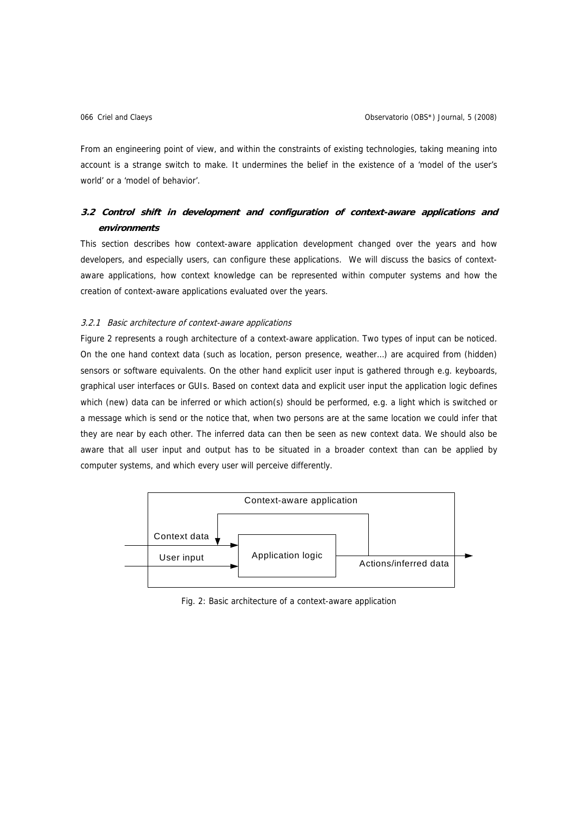From an engineering point of view, and within the constraints of existing technologies, taking meaning into account is a strange switch to make. It undermines the belief in the existence of a 'model of the user's world' or a 'model of behavior'.

## **3.2 Control shift in development and configuration of context-aware applications and environments**

This section describes how context-aware application development changed over the years and how developers, and especially users, can configure these applications. We will discuss the basics of contextaware applications, how context knowledge can be represented within computer systems and how the creation of context-aware applications evaluated over the years.

## 3.2.1 Basic architecture of context-aware applications

Figure 2 represents a rough architecture of a context-aware application. Two types of input can be noticed. On the one hand context data (such as location, person presence, weather…) are acquired from (hidden) sensors or software equivalents. On the other hand explicit user input is gathered through e.g. keyboards, graphical user interfaces or GUIs. Based on context data and explicit user input the application logic defines which (new) data can be inferred or which action(s) should be performed, e.g. a light which is switched or a message which is send or the notice that, when two persons are at the same location we could infer that they are near by each other. The inferred data can then be seen as new context data. We should also be aware that all user input and output has to be situated in a broader context than can be applied by computer systems, and which every user will perceive differently.



Fig. 2: Basic architecture of a context-aware application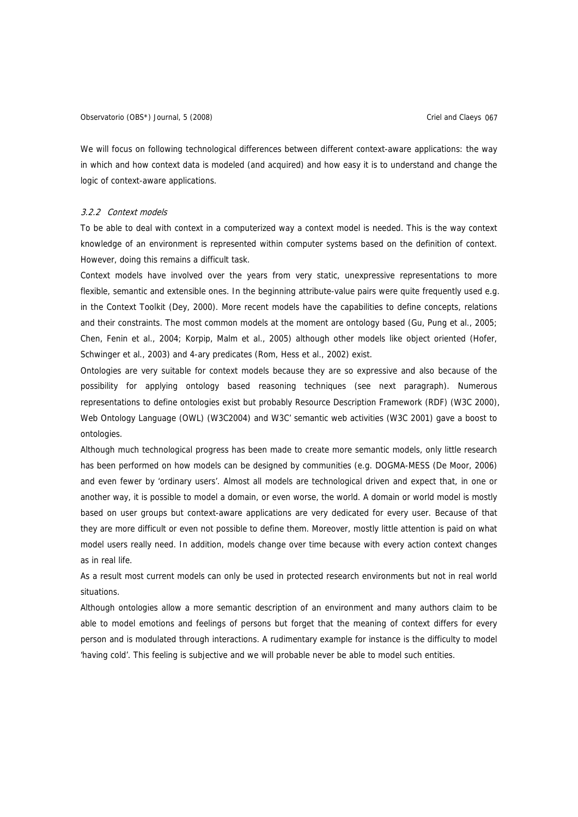Observatorio (OBS\*) Journal, 5 (2008) Contract Contract Contract Criel and Claeys 067

We will focus on following technological differences between different context-aware applications: the way in which and how context data is modeled (and acquired) and how easy it is to understand and change the logic of context-aware applications.

#### 3.2.2 Context models

To be able to deal with context in a computerized way a context model is needed. This is the way context knowledge of an environment is represented within computer systems based on the definition of context. However, doing this remains a difficult task.

Context models have involved over the years from very static, unexpressive representations to more flexible, semantic and extensible ones. In the beginning attribute-value pairs were quite frequently used e.g. in the Context Toolkit (Dey, 2000). More recent models have the capabilities to define concepts, relations and their constraints. The most common models at the moment are ontology based (Gu, Pung et al., 2005; Chen, Fenin et al., 2004; Korpip, Malm et al., 2005) although other models like object oriented (Hofer, Schwinger et al., 2003) and 4-ary predicates (Rom, Hess et al., 2002) exist.

Ontologies are very suitable for context models because they are so expressive and also because of the possibility for applying ontology based reasoning techniques (see next paragraph). Numerous representations to define ontologies exist but probably Resource Description Framework (RDF) (W3C 2000), Web Ontology Language (OWL) (W3C2004) and W3C' semantic web activities (W3C 2001) gave a boost to ontologies.

Although much technological progress has been made to create more semantic models, only little research has been performed on how models can be designed by communities (e.g. DOGMA-MESS (De Moor, 2006) and even fewer by 'ordinary users'. Almost all models are technological driven and expect that, in one or another way, it is possible to model a domain, or even worse, the world. A domain or world model is mostly based on user groups but context-aware applications are very dedicated for every user. Because of that they are more difficult or even not possible to define them. Moreover, mostly little attention is paid on what model users really need. In addition, models change over time because with every action context changes as in real life.

As a result most current models can only be used in protected research environments but not in real world situations.

Although ontologies allow a more semantic description of an environment and many authors claim to be able to model emotions and feelings of persons but forget that the meaning of context differs for every person and is modulated through interactions. A rudimentary example for instance is the difficulty to model 'having cold'. This feeling is subjective and we will probable never be able to model such entities.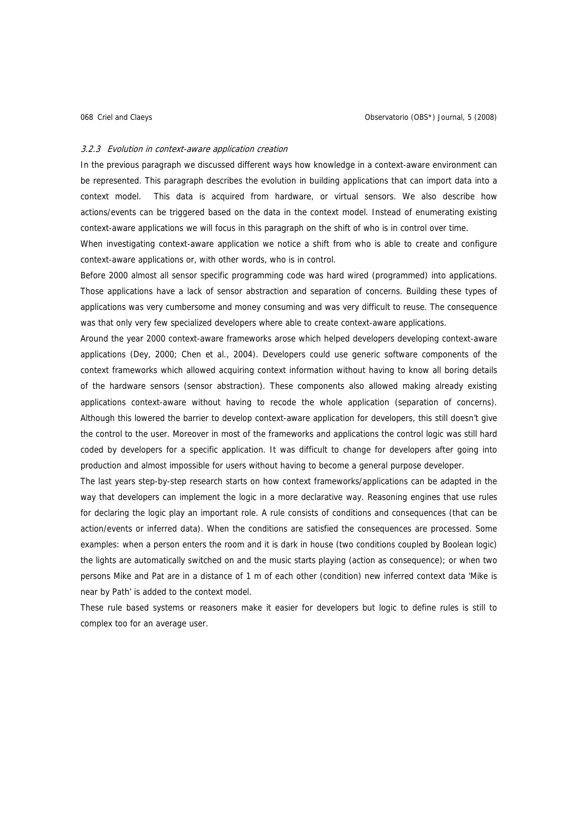#### 3.2.3 Evolution in context-aware application creation

In the previous paragraph we discussed different ways how knowledge in a context-aware environment can be represented. This paragraph describes the evolution in building applications that can import data into a context model. This data is acquired from hardware, or virtual sensors. We also describe how actions/events can be triggered based on the data in the context model. Instead of enumerating existing context-aware applications we will focus in this paragraph on the shift of who is in control over time.

When investigating context-aware application we notice a shift from who is able to create and configure context-aware applications or, with other words, who is in control.

Before 2000 almost all sensor specific programming code was hard wired (programmed) into applications. Those applications have a lack of sensor abstraction and separation of concerns. Building these types of applications was very cumbersome and money consuming and was very difficult to reuse. The consequence was that only very few specialized developers where able to create context-aware applications.

Around the year 2000 context-aware frameworks arose which helped developers developing context-aware applications (Dey, 2000; Chen et al., 2004). Developers could use generic software components of the context frameworks which allowed acquiring context information without having to know all boring details of the hardware sensors (sensor abstraction). These components also allowed making already existing applications context-aware without having to recode the whole application (separation of concerns). Although this lowered the barrier to develop context-aware application for developers, this still doesn't give the control to the user. Moreover in most of the frameworks and applications the control logic was still hard coded by developers for a specific application. It was difficult to change for developers after going into production and almost impossible for users without having to become a general purpose developer.

The last years step-by-step research starts on how context frameworks/applications can be adapted in the way that developers can implement the logic in a more declarative way. Reasoning engines that use rules for declaring the logic play an important role. A rule consists of conditions and consequences (that can be action/events or inferred data). When the conditions are satisfied the consequences are processed. Some examples: when a person enters the room and it is dark in house (two conditions coupled by Boolean logic) the lights are automatically switched on and the music starts playing (action as consequence); or when two persons Mike and Pat are in a distance of 1 m of each other (condition) new inferred context data 'Mike is near by Path' is added to the context model.

These rule based systems or reasoners make it easier for developers but logic to define rules is still to complex too for an average user.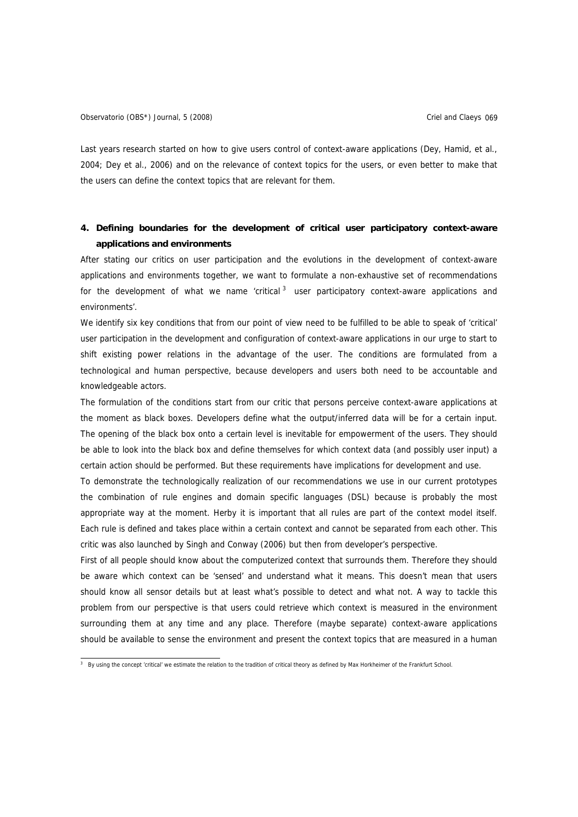Last years research started on how to give users control of context-aware applications (Dey, Hamid, et al., 2004; Dey et al., 2006) and on the relevance of context topics for the users, or even better to make that the users can define the context topics that are relevant for them.

# **4. Defining boundaries for the development of critical user participatory context-aware applications and environments**

After stating our critics on user participation and the evolutions in the development of context-aware applications and environments together, we want to formulate a non-exhaustive set of recommendations for the development of what we name 'critical  $3$  user participatory context-aware applications and environments'.

We identify six key conditions that from our point of view need to be fulfilled to be able to speak of 'critical' user participation in the development and configuration of context-aware applications in our urge to start to shift existing power relations in the advantage of the user. The conditions are formulated from a technological and human perspective, because developers and users both need to be accountable and knowledgeable actors.

The formulation of the conditions start from our critic that persons perceive context-aware applications at the moment as black boxes. Developers define what the output/inferred data will be for a certain input. The opening of the black box onto a certain level is inevitable for empowerment of the users. They should be able to look into the black box and define themselves for which context data (and possibly user input) a certain action should be performed. But these requirements have implications for development and use.

To demonstrate the technologically realization of our recommendations we use in our current prototypes the combination of rule engines and domain specific languages (DSL) because is probably the most appropriate way at the moment. Herby it is important that all rules are part of the context model itself. Each rule is defined and takes place within a certain context and cannot be separated from each other. This critic was also launched by Singh and Conway (2006) but then from developer's perspective.

First of all people should know about the computerized context that surrounds them. Therefore they should be aware which context can be 'sensed' and understand what it means. This doesn't mean that users should know all sensor details but at least what's possible to detect and what not. A way to tackle this problem from our perspective is that users could retrieve which context is measured in the environment surrounding them at any time and any place. Therefore (maybe separate) context-aware applications should be available to sense the environment and present the context topics that are measured in a human

<span id="page-12-0"></span> 3 By using the concept 'critical' we estimate the relation to the tradition of critical theory as defined by Max Horkheimer of the Frankfurt School.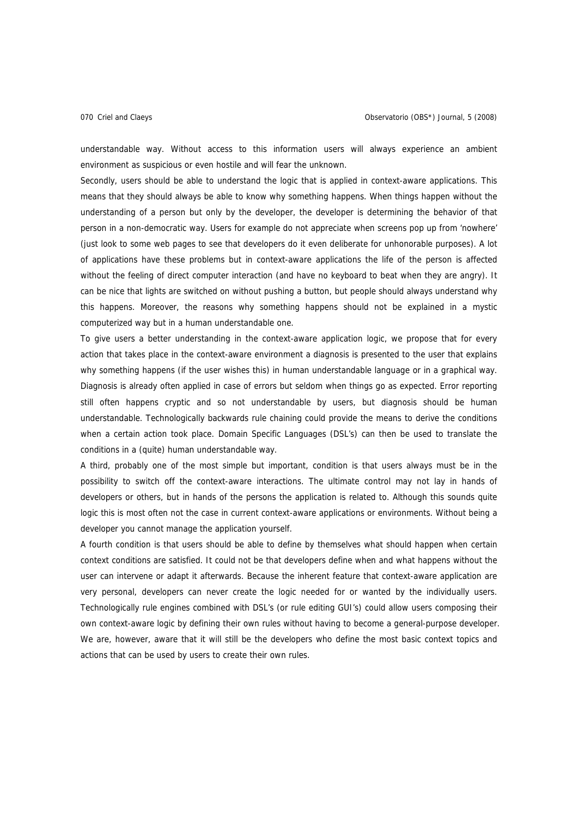understandable way. Without access to this information users will always experience an ambient environment as suspicious or even hostile and will fear the unknown.

Secondly, users should be able to understand the logic that is applied in context-aware applications. This means that they should always be able to know why something happens. When things happen without the understanding of a person but only by the developer, the developer is determining the behavior of that person in a non-democratic way. Users for example do not appreciate when screens pop up from 'nowhere' (just look to some web pages to see that developers do it even deliberate for unhonorable purposes). A lot of applications have these problems but in context-aware applications the life of the person is affected without the feeling of direct computer interaction (and have no keyboard to beat when they are angry). It can be nice that lights are switched on without pushing a button, but people should always understand why this happens. Moreover, the reasons why something happens should not be explained in a mystic computerized way but in a human understandable one.

To give users a better understanding in the context-aware application logic, we propose that for every action that takes place in the context-aware environment a diagnosis is presented to the user that explains why something happens (if the user wishes this) in human understandable language or in a graphical way. Diagnosis is already often applied in case of errors but seldom when things go as expected. Error reporting still often happens cryptic and so not understandable by users, but diagnosis should be human understandable. Technologically backwards rule chaining could provide the means to derive the conditions when a certain action took place. Domain Specific Languages (DSL's) can then be used to translate the conditions in a (quite) human understandable way.

A third, probably one of the most simple but important, condition is that users always must be in the possibility to switch off the context-aware interactions. The ultimate control may not lay in hands of developers or others, but in hands of the persons the application is related to. Although this sounds quite logic this is most often not the case in current context-aware applications or environments. Without being a developer you cannot manage the application yourself.

A fourth condition is that users should be able to define by themselves what should happen when certain context conditions are satisfied. It could not be that developers define when and what happens without the user can intervene or adapt it afterwards. Because the inherent feature that context-aware application are very personal, developers can never create the logic needed for or wanted by the individually users. Technologically rule engines combined with DSL's (or rule editing GUI's) could allow users composing their own context-aware logic by defining their own rules without having to become a general-purpose developer. We are, however, aware that it will still be the developers who define the most basic context topics and actions that can be used by users to create their own rules.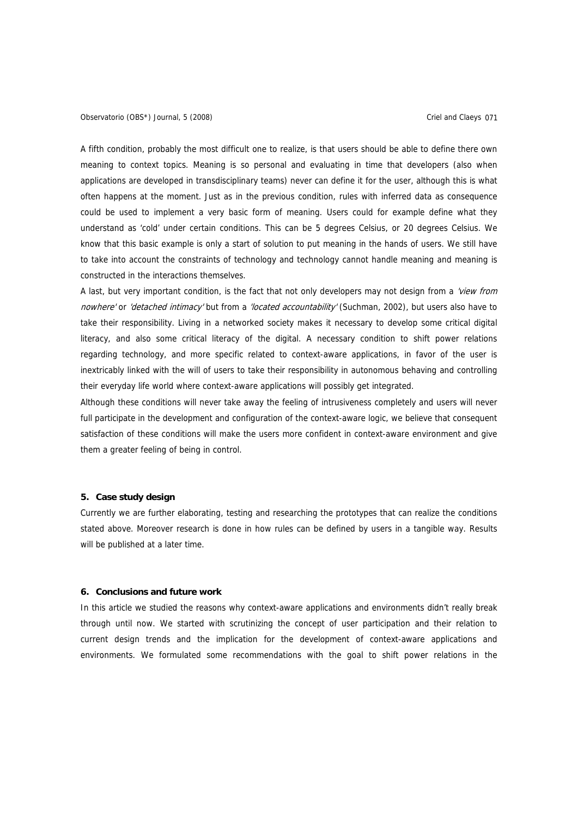Observatorio (OBS\*) Journal, 5 (2008) Contract Contract Contract Criel and Claeys 071

A fifth condition, probably the most difficult one to realize, is that users should be able to define there own meaning to context topics. Meaning is so personal and evaluating in time that developers (also when applications are developed in transdisciplinary teams) never can define it for the user, although this is what often happens at the moment. Just as in the previous condition, rules with inferred data as consequence could be used to implement a very basic form of meaning. Users could for example define what they understand as 'cold' under certain conditions. This can be 5 degrees Celsius, or 20 degrees Celsius. We know that this basic example is only a start of solution to put meaning in the hands of users. We still have to take into account the constraints of technology and technology cannot handle meaning and meaning is constructed in the interactions themselves.

A last, but very important condition, is the fact that not only developers may not design from a 'view from nowhere' or 'detached intimacy' but from a 'located accountability' (Suchman, 2002), but users also have to take their responsibility. Living in a networked society makes it necessary to develop some critical digital literacy, and also some critical literacy of the digital. A necessary condition to shift power relations regarding technology, and more specific related to context-aware applications, in favor of the user is inextricably linked with the will of users to take their responsibility in autonomous behaving and controlling their everyday life world where context-aware applications will possibly get integrated.

Although these conditions will never take away the feeling of intrusiveness completely and users will never full participate in the development and configuration of the context-aware logic, we believe that consequent satisfaction of these conditions will make the users more confident in context-aware environment and give them a greater feeling of being in control.

#### **5. Case study design**

Currently we are further elaborating, testing and researching the prototypes that can realize the conditions stated above. Moreover research is done in how rules can be defined by users in a tangible way. Results will be published at a later time.

## **6. Conclusions and future work**

In this article we studied the reasons why context-aware applications and environments didn't really break through until now. We started with scrutinizing the concept of user participation and their relation to current design trends and the implication for the development of context-aware applications and environments. We formulated some recommendations with the goal to shift power relations in the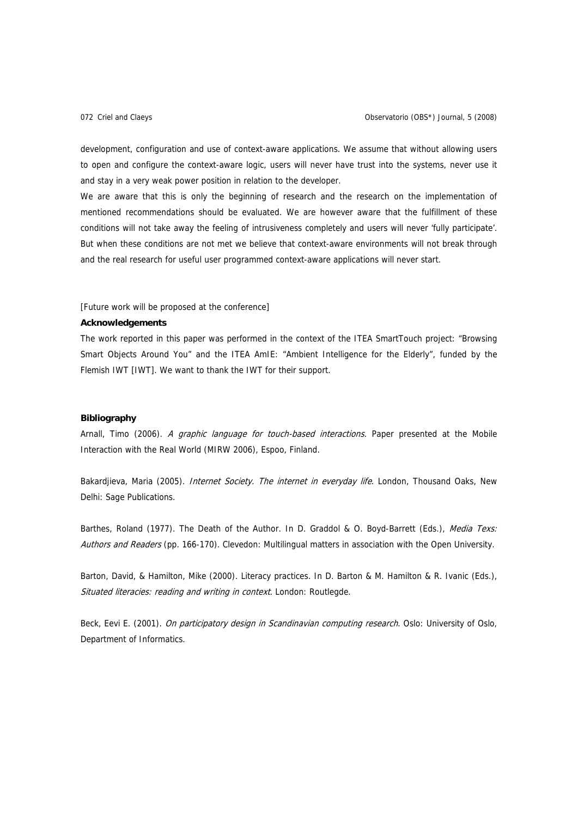development, configuration and use of context-aware applications. We assume that without allowing users to open and configure the context-aware logic, users will never have trust into the systems, never use it and stay in a very weak power position in relation to the developer.

We are aware that this is only the beginning of research and the research on the implementation of mentioned recommendations should be evaluated. We are however aware that the fulfillment of these conditions will not take away the feeling of intrusiveness completely and users will never 'fully participate'. But when these conditions are not met we believe that context-aware environments will not break through and the real research for useful user programmed context-aware applications will never start.

#### [Future work will be proposed at the conference]

#### **Acknowledgements**

The work reported in this paper was performed in the context of the ITEA SmartTouch project: "Browsing Smart Objects Around You" and the ITEA AmIE: "Ambient Intelligence for the Elderly", funded by the Flemish IWT [IWT]. We want to thank the IWT for their support.

## **Bibliography**

Arnall, Timo (2006). A graphic language for touch-based interactions. Paper presented at the Mobile Interaction with the Real World (MIRW 2006), Espoo, Finland.

Bakardjieva, Maria (2005). Internet Society. The internet in everyday life. London, Thousand Oaks, New Delhi: Sage Publications.

Barthes, Roland (1977). The Death of the Author. In D. Graddol & O. Boyd-Barrett (Eds.), Media Texs: Authors and Readers (pp. 166-170). Clevedon: Multilingual matters in association with the Open University.

Barton, David, & Hamilton, Mike (2000). Literacy practices. In D. Barton & M. Hamilton & R. Ivanic (Eds.), Situated literacies: reading and writing in context. London: Routlegde.

Beck, Eevi E. (2001). On participatory design in Scandinavian computing research. Oslo: University of Oslo. Department of Informatics.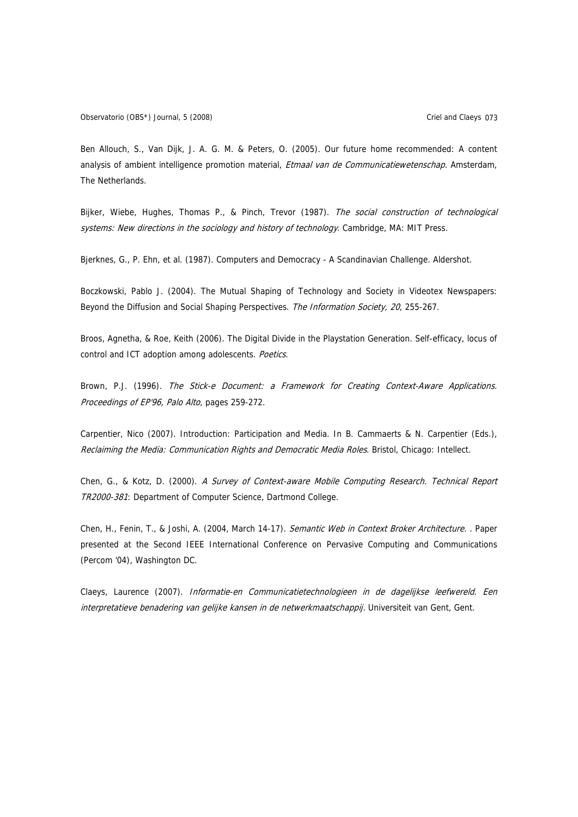Ben Allouch, S., Van Dijk, J. A. G. M. & Peters, O. (2005). Our future home recommended: A content analysis of ambient intelligence promotion material, Etmaal van de Communicatiewetenschap. Amsterdam, The Netherlands.

Bijker, Wiebe, Hughes, Thomas P., & Pinch, Trevor (1987). The social construction of technological systems: New directions in the sociology and history of technology. Cambridge, MA: MIT Press.

Bjerknes, G., P. Ehn, et al. (1987). Computers and Democracy - A Scandinavian Challenge. Aldershot.

Boczkowski, Pablo J. (2004). The Mutual Shaping of Technology and Society in Videotex Newspapers: Beyond the Diffusion and Social Shaping Perspectives. The Information Society, 20, 255-267.

Broos, Agnetha, & Roe, Keith (2006). The Digital Divide in the Playstation Generation. Self-efficacy, locus of control and ICT adoption among adolescents. Poetics.

Brown, P.J. (1996). The Stick-e Document: a Framework for Creating Context-Aware Applications. Proceedings of EP'96, Palo Alto, pages 259-272.

Carpentier, Nico (2007). Introduction: Participation and Media. In B. Cammaerts & N. Carpentier (Eds.), Reclaiming the Media: Communication Rights and Democratic Media Roles. Bristol, Chicago: Intellect.

Chen, G., & Kotz, D. (2000). A Survey of Context-aware Mobile Computing Research. Technical Report TR2000-381: Department of Computer Science, Dartmond College.

Chen, H., Fenin, T., & Joshi, A. (2004, March 14-17). Semantic Web in Context Broker Architecture. . Paper presented at the Second IEEE International Conference on Pervasive Computing and Communications (Percom '04), Washington DC.

Claeys, Laurence (2007). Informatie-en Communicatietechnologieen in de dagelijkse leefwereld. Een interpretatieve benadering van gelijke kansen in de netwerkmaatschappij. Universiteit van Gent, Gent.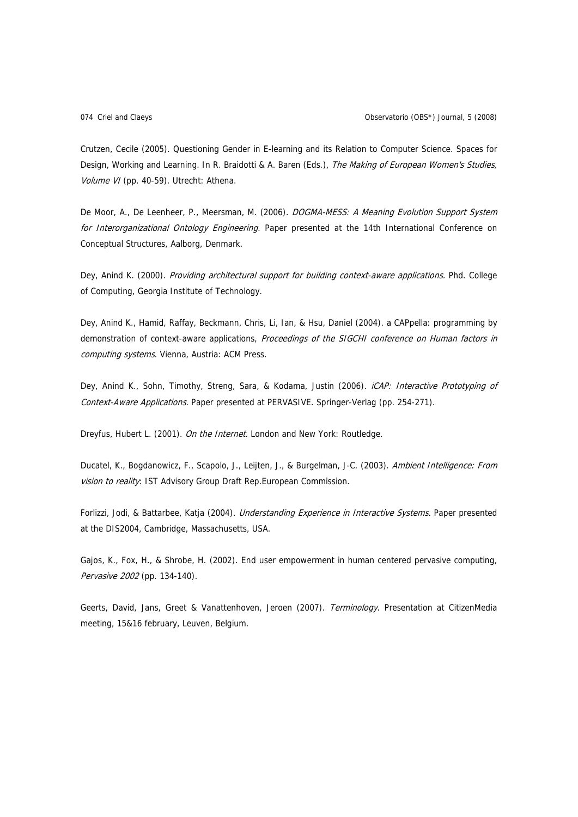Crutzen, Cecile (2005). Questioning Gender in E-learning and its Relation to Computer Science. Spaces for Design, Working and Learning. In R. Braidotti & A. Baren (Eds.), The Making of European Women's Studies, Volume VI (pp. 40-59). Utrecht: Athena.

De Moor, A., De Leenheer, P., Meersman, M. (2006). DOGMA-MESS: A Meaning Evolution Support System for Interorganizational Ontology Engineering. Paper presented at the 14th International Conference on Conceptual Structures, Aalborg, Denmark.

Dey, Anind K. (2000). Providing architectural support for building context-aware applications. Phd. College of Computing, Georgia Institute of Technology.

Dey, Anind K., Hamid, Raffay, Beckmann, Chris, Li, Ian, & Hsu, Daniel (2004). a CAPpella: programming by demonstration of context-aware applications, Proceedings of the SIGCHI conference on Human factors in computing systems. Vienna, Austria: ACM Press.

Dey, Anind K., Sohn, Timothy, Streng, Sara, & Kodama, Justin (2006). iCAP: Interactive Prototyping of Context-Aware Applications. Paper presented at PERVASIVE. Springer-Verlag (pp. 254-271).

Dreyfus, Hubert L. (2001). On the Internet. London and New York: Routledge.

Ducatel, K., Bogdanowicz, F., Scapolo, J., Leijten, J., & Burgelman, J-C. (2003). Ambient Intelligence: From vision to reality: IST Advisory Group Draft Rep. European Commission.

Forlizzi, Jodi, & Battarbee, Katja (2004). *Understanding Experience in Interactive Systems*. Paper presented at the DIS2004, Cambridge, Massachusetts, USA.

Gajos, K., Fox, H., & Shrobe, H. (2002). End user empowerment in human centered pervasive computing, Pervasive 2002 (pp. 134-140).

Geerts, David, Jans, Greet & Vanattenhoven, Jeroen (2007). Terminology. Presentation at CitizenMedia meeting, 15&16 february, Leuven, Belgium.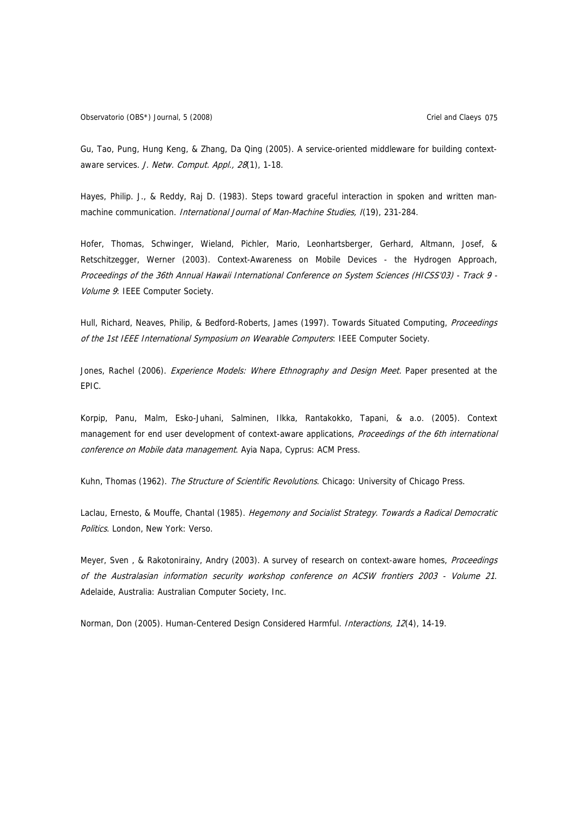Gu, Tao, Pung, Hung Keng, & Zhang, Da Qing (2005). A service-oriented middleware for building contextaware services. J. Netw. Comput. Appl., 28(1), 1-18.

Hayes, Philip. J., & Reddy, Raj D. (1983). Steps toward graceful interaction in spoken and written manmachine communication. *International Journal of Man-Machine Studies, I*(19), 231-284.

Hofer, Thomas, Schwinger, Wieland, Pichler, Mario, Leonhartsberger, Gerhard, Altmann, Josef, & Retschitzegger, Werner (2003). Context-Awareness on Mobile Devices - the Hydrogen Approach, Proceedings of the 36th Annual Hawaii International Conference on System Sciences (HICSS'03) - Track 9 - Volume 9: IEEE Computer Society.

Hull, Richard, Neaves, Philip, & Bedford-Roberts, James (1997). Towards Situated Computing, Proceedings of the 1st IEEE International Symposium on Wearable Computers: IEEE Computer Society.

Jones, Rachel (2006). Experience Models: Where Ethnography and Design Meet. Paper presented at the EPIC.

Korpip, Panu, Malm, Esko-Juhani, Salminen, Ilkka, Rantakokko, Tapani, & a.o. (2005). Context management for end user development of context-aware applications, Proceedings of the 6th international conference on Mobile data management. Ayia Napa, Cyprus: ACM Press.

Kuhn, Thomas (1962). The Structure of Scientific Revolutions. Chicago: University of Chicago Press.

Laclau, Ernesto, & Mouffe, Chantal (1985). Hegemony and Socialist Strategy. Towards a Radical Democratic Politics. London, New York: Verso.

Meyer, Sven, & Rakotonirainy, Andry (2003). A survey of research on context-aware homes, Proceedings of the Australasian information security workshop conference on ACSW frontiers 2003 - Volume 21. Adelaide, Australia: Australian Computer Society, Inc.

Norman, Don (2005). Human-Centered Design Considered Harmful. *Interactions, 12*(4), 14-19.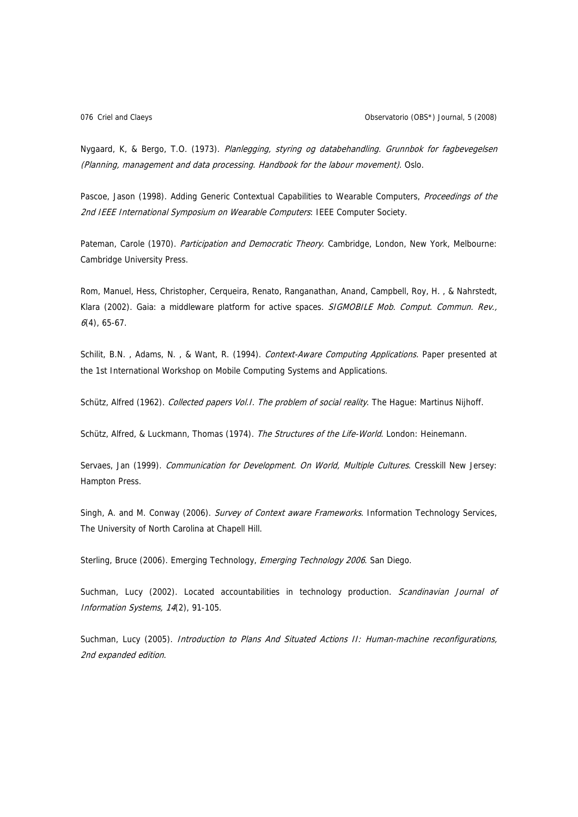Nygaard, K, & Bergo, T.O. (1973). Planlegging, styring og databehandling. Grunnbok for fagbevegelsen (Planning, management and data processing. Handbook for the labour movement). Oslo.

Pascoe, Jason (1998). Adding Generic Contextual Capabilities to Wearable Computers, Proceedings of the 2nd IEEE International Symposium on Wearable Computers: IEEE Computer Society.

Pateman, Carole (1970). Participation and Democratic Theory. Cambridge, London, New York, Melbourne: Cambridge University Press.

Rom, Manuel, Hess, Christopher, Cerqueira, Renato, Ranganathan, Anand, Campbell, Roy, H. , & Nahrstedt, Klara (2002). Gaia: a middleware platform for active spaces. SIGMOBILE Mob. Comput. Commun. Rev.,  $6(4)$ , 65-67.

Schilit, B.N. , Adams, N. , & Want, R. (1994). Context-Aware Computing Applications. Paper presented at the 1st International Workshop on Mobile Computing Systems and Applications.

Schütz, Alfred (1962). Collected papers Vol. I. The problem of social reality. The Hague: Martinus Nijhoff.

Schütz, Alfred, & Luckmann, Thomas (1974). The Structures of the Life-World. London: Heinemann.

Servaes, Jan (1999). Communication for Development. On World, Multiple Cultures. Cresskill New Jersey: Hampton Press.

Singh, A. and M. Conway (2006). Survey of Context aware Frameworks. Information Technology Services, The University of North Carolina at Chapell Hill.

Sterling, Bruce (2006). Emerging Technology, Emerging Technology 2006. San Diego.

Suchman, Lucy (2002). Located accountabilities in technology production. Scandinavian Journal of Information Systems, 14(2), 91-105.

Suchman, Lucy (2005). Introduction to Plans And Situated Actions II: Human-machine reconfigurations, 2nd expanded edition.